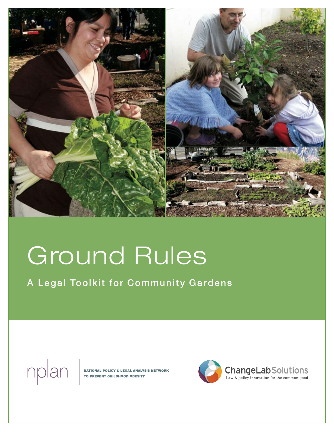

# Ground Rules

A Legal Toolkit for Community Gardens



**NATIONAL POLICY & LEGAL ANALYSIS NETWORK** TO PREVENT CHILDHOOD OBESITY

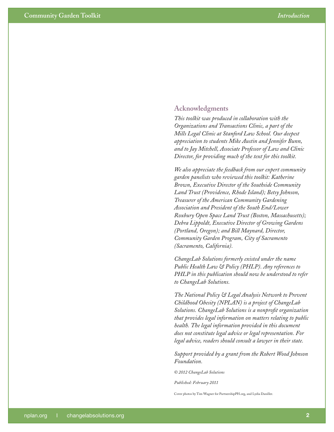#### **Acknowledgments**

*This toolkit was produced in collaboration with the Organizations and Transactions Clinic, a part of the Mills Legal Clinic at Stanford Law School. Our deepest appreciation to students Mike Austin and Jennifer Bunn, and to Jay Mitchell, Associate Professor of Law and Clinic Director, for providing much of the text for this toolkit.*

*We also appreciate the feedback from our expert community garden panelists who reviewed this toolkit: Katherine Brown, Executive Director of the Southside Community Land Trust (Providence, Rhode Island); Betsy Johnson, Treasurer of the American Community Gardening Association and President of the South End/Lower Roxbury Open Space Land Trust (Boston, Massachusetts); Debra Lippoldt, Executive Director of Growing Gardens (Portland, Oregon); and Bill Maynard, Director, Community Garden Program, City of Sacramento (Sacramento, California).*

*ChangeLab Solutions formerly existed under the name Public Health Law & Policy (PHLP). Any references to PHLP in this publication should now be understood to refer to ChangeLab Solutions.* 

*The National Policy & Legal Analysis Network to Prevent Childhood Obesity (NPLAN) is a project of ChangeLab Solutions. ChangeLab Solutions is a nonprofit organization that provides legal information on matters relating to public health. The legal information provided in this document does not constitute legal advice or legal representation. For legal advice, readers should consult a lawyer in their state.* 

*Support provided by a grant from the Robert Wood Johnson Foundation.* 

*© 2012 ChangeLab Solutions*

*Published: February 2011*

Cover photos by Tim Wagner for PartnershipPH.org, and Lydia Daniller.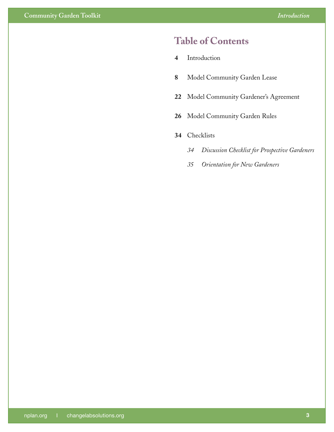### **Table of Contents**

- [Introduction](#page-3-0)
- [Model Community Garden Lease](#page-7-0)
- [Model Community Gardener's Agreement](#page-21-0)
- [Model Community Garden Rules](#page-25-0)
- [Checklists](#page-33-0)
	- *[Discussion Checklist for Prospective Gardeners](#page-33-0)*
	- *[Orientation for New Gardeners](#page-34-0)*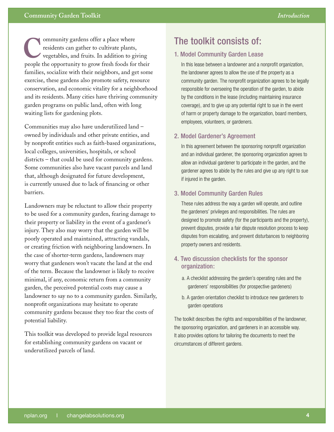#### <span id="page-3-0"></span>**Community Garden Toolkit**

ommunity gardens offer a place where residents can gather to cultivate plants, vegetables, and fruits. In addition to giving people the opportunity to grow fresh foods for their families, socialize with their neighbors, and get some exercise, these gardens also promote safety, resource conservation, and economic vitality for a neighborhood and its residents. Many cities have thriving community garden programs on public land, often with long waiting lists for gardening plots.

Communities may also have underutilized land – owned by individuals and other private entities, and by nonprofit entities such as faith-based organizations, local colleges, universities, hospitals, or school districts – that could be used for community gardens. Some communities also have vacant parcels and land that, although designated for future development, is currently unused due to lack of financing or other barriers.

Landowners may be reluctant to allow their property to be used for a community garden, fearing damage to their property or liability in the event of a gardener's injury. They also may worry that the garden will be poorly operated and maintained, attracting vandals, or creating friction with neighboring landowners. In the case of shorter-term gardens, landowners may worry that gardeners won't vacate the land at the end of the term. Because the landowner is likely to receive minimal, if any, economic return from a community garden, the perceived potential costs may cause a landowner to say no to a community garden. Similarly, nonprofit organizations may hesitate to operate community gardens because they too fear the costs of potential liability.

This toolkit was developed to provide legal resources for establishing community gardens on vacant or underutilized parcels of land.

### **C** The toolkit consists of:

#### 1. Model Community Garden Lease

In this lease between a landowner and a nonprofit organization, the landowner agrees to allow the use of the property as a community garden. The nonprofit organization agrees to be legally responsible for overseeing the operation of the garden, to abide by the conditions in the lease (including maintaining insurance coverage), and to give up any potential right to sue in the event of harm or property damage to the organization, board members, employees, volunteers, or gardeners.

#### 2. Model Gardener's Agreement

In this agreement between the sponsoring nonprofit organization and an individual gardener, the sponsoring organization agrees to allow an individual gardener to participate in the garden, and the gardener agrees to abide by the rules and give up any right to sue if injured in the garden.

#### 3. Model Community Garden Rules

These rules address the way a garden will operate, and outline the gardeners' privileges and responsibilities. The rules are designed to promote safety (for the participants and the property), prevent disputes, provide a fair dispute resolution process to keep disputes from escalating, and prevent disturbances to neighboring property owners and residents.

#### 4. Two discussion checklists for the sponsor organization:

- a. A checklist addressing the garden's operating rules and the gardeners' responsibilities (for prospective gardeners)
- b. A garden orientation checklist to introduce new gardeners to garden operations

The toolkit describes the rights and responsibilities of the landowner, the sponsoring organization, and gardeners in an accessible way. It also provides options for tailoring the documents to meet the circumstances of different gardens.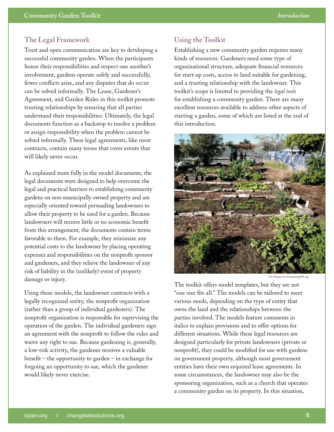#### **The Legal Framework**

Trust and open communication are key to developing a successful community garden. When the participants honor their responsibilities and respect one another's involvement, gardens operate safely and successfully, fewer conflicts arise, and any disputes that do occur can be solved informally. The Lease, Gardener's Agreement, and Garden Rules in this toolkit promote trusting relationships by ensuring that all parties understand their responsibilities. Ultimately, the legal documents function as a backstop to resolve a problem or assign responsibility when the problem cannot be solved informally. These legal agreements, like most contracts, contain many terms that cover events that will likely never occur.

As explained more fully in the model documents, the legal documents were designed to help overcome the legal and practical barriers to establishing community gardens on non-municipally owned property and are especially oriented toward persuading landowners to allow their property to be used for a garden. Because landowners will receive little or no economic benefit from this arrangement, the documents contain terms favorable to them. For example, they minimize any potential costs to the landowner by placing operating expenses and responsibilities on the nonprofit sponsor and gardeners, and they relieve the landowner of any risk of liability in the (unlikely) event of property damage or injury.

Using these models, the landowner contracts with a legally recognized entity, the nonprofit organization (rather than a group of individual gardeners). The nonprofit organization is responsible for supervising the operation of the garden. The individual gardeners sign an agreement with the nonprofit to follow the rules and waive any right to sue. Because gardening is, generally, a low-risk activity, the gardener receives a valuable benefit – the opportunity to garden – in exchange for forgoing an opportunity to sue, which the gardener would likely never exercise.

#### **Using the Toolkit**

Establishing a new community garden requires many kinds of resources. Gardeners need some type of organizational structure, adequate financial resources for start-up costs, access to land suitable for gardening, and a trusting relationship with the landowner. This toolkit's scope is limited to providing the *legal tools* for establishing a community garden. There are many excellent resources available to address other aspects of starting a garden, some of which are listed at the end of this introduction.



Tim Wagner for PartnershipPH.org.

The toolkit offers model templates, but they are not "one size fits all." The models can be tailored to meet various needs, depending on the type of entity that owns the land and the relationships between the parties involved. The models feature comments in italics to explain provisions and to offer options for different situations. While these legal resources are designed particularly for private landowners (private or nonprofit), they could be modified for use with gardens on government property, although most government entities have their own required lease agreements. In some circumstances, the landowner may also be the sponsoring organization, such as a church that operates a community garden on its property. In this situation,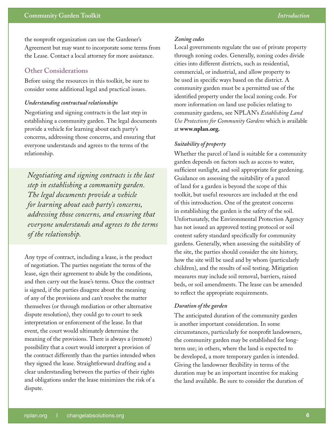the nonprofit organization can use the Gardener's Agreement but may want to incorporate some terms from the Lease. Contact a local attorney for more assistance.

#### **Other Considerations**

Before using the resources in this toolkit, be sure to consider some additional legal and practical issues.

#### *Understanding contractual relationships*

Negotiating and signing contracts is the last step in establishing a community garden. The legal documents provide a vehicle for learning about each party's concerns, addressing those concerns, and ensuring that everyone understands and agrees to the terms of the relationship.

*Negotiating and signing contracts is the last step in establishing a community garden. The legal documents provide a vehicle for learning about each party's concerns, addressing those concerns, and ensuring that everyone understands and agrees to the terms of the relationship.*

Any type of contract, including a lease, is the product of negotiation. The parties negotiate the terms of the lease, sign their agreement to abide by the conditions, and then carry out the lease's terms. Once the contract is signed, if the parties disagree about the meaning of any of the provisions and can't resolve the matter themselves (or through mediation or other alternative dispute resolution), they could go to court to seek interpretation or enforcement of the lease. In that event, the court would ultimately determine the meaning of the provisions. There is always a (remote) possibility that a court would interpret a provision of the contract differently than the parties intended when they signed the lease. Straightforward drafting and a clear understanding between the parties of their rights and obligations under the lease minimizes the risk of a dispute.

#### *Zoning codes*

Local governments regulate the use of private property through zoning codes. Generally, zoning codes divide cities into different districts, such as residential, commercial, or industrial, and allow property to be used in specific ways based on the district. A community garden must be a permitted use of the identified property under the local zoning code. For more information on land use policies relating to community gardens, see NPLAN's *Establishing Land Use Protections for Community Gardens* which is available at **[www.nplan.org.](www.nplan.org)** 

#### *Suitability of property*

Whether the parcel of land is suitable for a community garden depends on factors such as access to water, sufficient sunlight, and soil appropriate for gardening. Guidance on assessing the suitability of a parcel of land for a garden is beyond the scope of this toolkit, but useful resources are included at the end of this introduction. One of the greatest concerns in establishing the garden is the safety of the soil. Unfortunately, the Environmental Protection Agency has not issued an approved testing protocol or soil content safety standard specifically for community gardens. Generally, when assessing the suitability of the site, the parties should consider the site history, how the site will be used and by whom (particularly children), and the results of soil testing. Mitigation measures may include soil removal, barriers, raised beds, or soil amendments. The lease can be amended to reflect the appropriate requirements.

#### *Duration of the garden*

The anticipated duration of the community garden is another important consideration. In some circumstances, particularly for nonprofit landowners, the community garden may be established for longterm use; in others, where the land is expected to be developed, a more temporary garden is intended. Giving the landowner flexibility in terms of the duration may be an important incentive for making the land available. Be sure to consider the duration of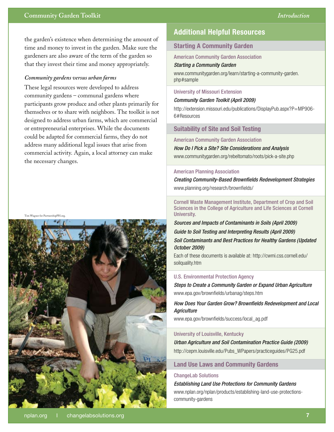the garden's existence when determining the amount of time and money to invest in the garden. Make sure the gardeners are also aware of the term of the garden so that they invest their time and money appropriately.

#### *Community gardens versus urban farms*

These legal resources were developed to address community gardens – communal gardens where participants grow produce and other plants primarily for themselves or to share with neighbors. The toolkit is not designed to address urban farms, which are commercial or entrepreneurial enterprises. While the documents could be adapted for commercial farms, they do not address many additional legal issues that arise from commercial activity. Again, a local attorney can make the necessary changes.

Tim Wagner for PartnershipPH.org.



#### **Starting A Community Garden**

American Community Garden Association

#### *Starting a Community Garden*

[www.communitygarden.org/learn/starting-a-community-garden.](www.communitygarden.org/learn/starting-a-community-garden.php#sample) [php#sample](www.communitygarden.org/learn/starting-a-community-garden.php#sample)

#### University of Missouri Extension

*Community Garden Toolkit (April 2009)* 

[http://extension.missouri.edu/publications/DisplayPub.aspx?P=MP906-](http://extension.missouri.edu/publications/DisplayPub.aspx?P=MP906-6#Resources) [6#Resources](http://extension.missouri.edu/publications/DisplayPub.aspx?P=MP906-6#Resources)

#### **Suitability of Site and Soil Testing**

American Community Garden Association

*How Do I Pick a Site? Site Considerations and Analysis* 

<www.communitygarden.org/rebeltomato/roots/pick-a-site.php>

#### American Planning Association

*Creating Community-Based Brownfields Redevelopment Strategies* <www.planning.org/research/brownfields/>

Cornell Waste Management Institute, Department of Crop and Soil Sciences in the College of Agriculture and Life Sciences at Cornell University.

*Sources and Impacts of Contaminants in Soils (April 2009) Guide to Soil Testing and Interpreting Results (April 2009) Soil Contaminants and Best Practices for Healthy Gardens (Updated October 2009)* 

Each of these documents is available at: [http://cwmi.css.cornell.edu/](http://cwmi.css.cornell.edu/soilquality.htm) [soilquality.htm](http://cwmi.css.cornell.edu/soilquality.htm)

#### U.S. Environmental Protection Agency

*Steps to Create a Community Garden or Expand Urban Agriculture* <www.epa.gov/brownfields/urbanag/steps.htm>

*How Does Your Garden Grow? Brownfields Redevelopment and Local Agriculture* 

[www.epa.gov/brownfields/success/local\\_ag.pdf](www.epa.gov/brownfields/success/local_ag.pdf) 

#### University of Louisville, Kentucky

*Urban Agriculture and Soil Contamination Practice Guide (2009)* [http://cepm.louisville.edu/Pubs\\_WPapers/practiceguides/PG25.pdf](http://cepm.louisville.edu/Pubs_WPapers/practiceguides/PG25.pdf)

#### **Land Use Laws and Community Gardens**

#### ChangeLab Solutions

*Establishing Land Use Protections for Community Gardens* [www.nplan.org/nplan/products/establishing-land-use-protections](www.nplan.org/nplan/products/establishing-land-use-protections-community-gardens)[community-gardens](www.nplan.org/nplan/products/establishing-land-use-protections-community-gardens)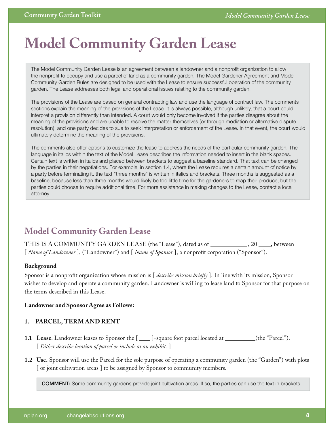# <span id="page-7-0"></span>**Model Community Garden Lease**

The Model Community Garden Lease is an agreement between a landowner and a nonprofit organization to allow the nonprofit to occupy and use a parcel of land as a community garden. The Model Gardener Agreement and Model Community Garden Rules are designed to be used with the Lease to ensure successful operation of the community garden. The Lease addresses both legal and operational issues relating to the community garden.

The provisions of the Lease are based on general contracting law and use the language of contract law. The comments sections explain the meaning of the provisions of the Lease. It is always possible, although unlikely, that a court could interpret a provision differently than intended. A court would only become involved if the parties disagree about the meaning of the provisions and are unable to resolve the matter themselves (or through mediation or alternative dispute resolution), and one party decides to sue to seek interpretation or enforcement of the Lease. In that event, the court would ultimately determine the meaning of the provisions.

The comments also offer options to customize the lease to address the needs of the particular community garden. The language in italics within the text of the Model Lease describes the information needed to insert in the blank spaces. Certain text is written in italics and placed between brackets to suggest a baseline standard. That text can be changed by the parties in their negotiations. For example, in section 1.4, where the Lease requires a certain amount of notice by a party before terminating it, the text "three months" is written in italics and brackets. Three months is suggested as a baseline, because less than three months would likely be too little time for the gardeners to reap their produce, but the parties could choose to require additional time. For more assistance in making changes to the Lease, contact a local attorney.

### **Model Community Garden Lease**

THIS IS A COMMUNITY GARDEN LEASE (the "Lease"), dated as of \_\_\_\_\_\_\_\_\_\_\_\_\_, 20 \_\_\_\_, between [ *Name of Landowner* ], ("Landowner") and [ *Name of Sponsor* ], a nonprofit corporation ("Sponsor").

#### **Background**

Sponsor is a nonprofit organization whose mission is [ *describe mission briefly* ]. In line with its mission, Sponsor wishes to develop and operate a community garden. Landowner is willing to lease land to Sponsor for that purpose on the terms described in this Lease.

#### **Landowner and Sponsor Agree as Follows:**

#### **1. PARCEL, TERM AND RENT**

- **1.1** Lease. Landowner leases to Sponsor the  $[\_\_\_\]$ -square foot parcel located at  $\_\_\_\_\_\$  (the "Parcel"). [ *Either describe location of parcel or include as an exhibit.* ]
- **1.2 Use.** Sponsor will use the Parcel for the sole purpose of operating a community garden (the "Garden") with plots [ or joint cultivation areas ] to be assigned by Sponsor to community members.

COMMENT: Some community gardens provide joint cultivation areas. If so, the parties can use the text in brackets.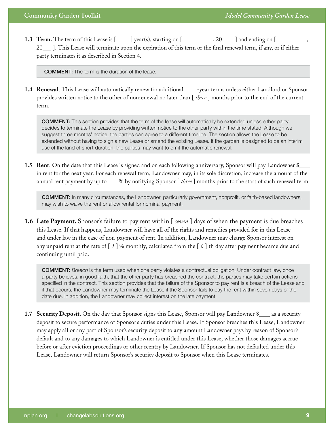**1.3 Term.** The term of this Lease is  $[\underline{\hspace{1cm}}]$  year(s), starting on  $[\underline{\hspace{1cm}}]$ , 20  $[\underline{\hspace{1cm}}]$  and ending on  $[\underline{\hspace{1cm}}]$ 20 [acts]. This Lease will terminate upon the expiration of this term or the final renewal term, if any, or if either party terminates it as described in Section 4.

COMMENT: The term is the duration of the lease.

1.4 **Renewal**. This Lease will automatically renew for additional \_\_\_\_-year terms unless either Landlord or Sponsor provides written notice to the other of nonrenewal no later than [ *three* ] months prior to the end of the current term.

COMMENT: This section provides that the term of the lease will automatically be extended unless either party decides to terminate the Lease by providing written notice to the other party within the time stated. Although we suggest three months' notice, the parties can agree to a different timeline. The section allows the Lease to be extended without having to sign a new Lease or amend the existing Lease. If the garden is designed to be an interim use of the land of short duration, the parties may want to omit the automatic renewal.

**1.5 Rent**. On the date that this Lease is signed and on each following anniversary, Sponsor will pay Landowner \$ in rent for the next year. For each renewal term, Landowner may, in its sole discretion, increase the amount of the annual rent payment by up to \_\_\_% by notifying Sponsor  $\lceil$  *three*  $\rceil$  months prior to the start of such renewal term.

COMMENT: In many circumstances, the Landowner, particularly government, nonprofit, or faith-based landowners, may wish to waive the rent or allow rental for nominal payment.

**1.6 Late Payment.** Sponsor's failure to pay rent within [ *seven* ] days of when the payment is due breaches this Lease. If that happens, Landowner will have all of the rights and remedies provided for in this Lease and under law in the case of non-payment of rent. In addition, Landowner may charge Sponsor interest on any unpaid rent at the rate of [ *1* ] % monthly, calculated from the [ *6* ] th day after payment became due and continuing until paid.

COMMENT: *Breach* is the term used when one party violates a contractual obligation. Under contract law, once a party believes, in good faith, that the other party has breached the contract, the parties may take certain actions specified in the contract. This section provides that the failure of the Sponsor to pay rent is a breach of the Lease and if that occurs, the Landowner may terminate the Lease if the Sponsor fails to pay the rent within seven days of the date due. In addition, the Landowner may collect interest on the late payment.

**1.7 Security Deposit.** On the day that Sponsor signs this Lease, Sponsor will pay Landowner \$ as a security deposit to secure performance of Sponsor's duties under this Lease. If Sponsor breaches this Lease, Landowner may apply all or any part of Sponsor's security deposit to any amount Landowner pays by reason of Sponsor's default and to any damages to which Landowner is entitled under this Lease, whether those damages accrue before or after eviction proceedings or other reentry by Landowner. If Sponsor has not defaulted under this Lease, Landowner will return Sponsor's security deposit to Sponsor when this Lease terminates.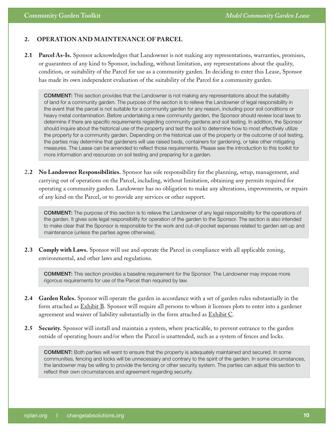#### **2. OPERATION AND MAINTENANCE OF PARCEL**

**2.1 Parcel As-Is.** Sponsor acknowledges that Landowner is not making any representations, warranties, promises, or guarantees of any kind to Sponsor, including, without limitation, any representations about the quality, condition, or suitability of the Parcel for use as a community garden. In deciding to enter this Lease, Sponsor has made its own independent evaluation of the suitability of the Parcel for a community garden.

COMMENT: This section provides that the Landowner is not making any representations about the suitability of land for a community garden. The purpose of the section is to relieve the Landowner of legal responsibility in the event that the parcel is not suitable for a community garden for any reason, including poor soil conditions or heavy metal contamination. Before undertaking a new community garden, the Sponsor should review local laws to determine if there are specific requirements regarding community gardens and soil testing. In addition, the Sponsor should inquire about the historical use of the property and test the soil to determine how to most effectively utilize the property for a community garden. Depending on the historical use of the property or the outcome of soil testing, the parties may determine that gardeners will use raised beds, containers for gardening, or take other mitigating measures. The Lease can be amended to reflect those requirements. Please see the introduction to this toolkit for more information and resources on soil testing and preparing for a garden.

2**.2 No Landowner Responsibilities.** Sponsor has sole responsibility for the planning, setup, management, and carrying out of operations on the Parcel, including, without limitation, obtaining any permits required for operating a community garden. Landowner has no obligation to make any alterations, improvements, or repairs of any kind on the Parcel, or to provide any services or other support.

COMMENT: The purpose of this section is to relieve the Landowner of any legal responsibility for the operations of the garden. It gives sole legal responsibility for operation of the garden to the Sponsor. The section is also intended to make clear that the Sponsor is responsible for the work and out-of-pocket expenses related to garden set-up and maintenance (unless the parties agree otherwise).

**2.3 Comply with Laws.** Sponsor will use and operate the Parcel in compliance with all applicable zoning, environmental, and other laws and regulations.

COMMENT: This section provides a baseline requirement for the Sponsor. The Landowner may impose more rigorous requirements for use of the Parcel than required by law.

- **2.4 Garden Rules.** Sponsor will operate the garden in accordance with a set of garden rules substantially in the form attached as **Exhibit B**. Sponsor will require all persons to whom it licenses plots to enter into a gardener agreement and waiver of liability substantially in the form attached as **Exhibit C**.
- **2.5 Security.** Sponsor will install and maintain a system, where practicable, to prevent entrance to the garden outside of operating hours and/or when the Parcel is unattended, such as a system of fences and locks.

COMMENT: Both parties will want to ensure that the property is adequately maintained and secured. In some communities, fencing and locks will be unnecessary and contrary to the spirit of the garden. In some circumstances, the landowner may be willing to provide the fencing or other security system. The parties can adjust this section to reflect their own circumstances and agreement regarding security.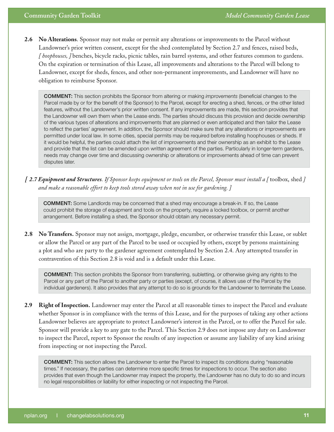**2.6 No Alterations**. Sponsor may not make or permit any alterations or improvements to the Parcel without Landowner's prior written consent, except for the shed contemplated by Section 2.7 and fences, raised beds, *[ hoophouses, ]* benches, bicycle racks, picnic tables, rain barrel systems, and other features common to gardens. On the expiration or termination of this Lease, all improvements and alterations to the Parcel will belong to Landowner, except for sheds, fences, and other non-permanent improvements, and Landowner will have no obligation to reimburse Sponsor.

COMMENT: This section prohibits the Sponsor from altering or making *improvements* (beneficial changes to the Parcel made by or for the benefit of the Sponsor) to the Parcel, except for erecting a shed, fences, or the other listed features, without the Landowner's prior written consent. If any improvements are made, this section provides that the Landowner will own them when the Lease ends. The parties should discuss this provision and decide ownership of the various types of alterations and improvements that are planned or even anticipated and then tailor the Lease to reflect the parties' agreement. In addition, the Sponsor should make sure that any alterations or improvements are permitted under local law. In some cities, special permits may be required before installing hoophouses or sheds. If it would be helpful, the parties could attach the list of improvements and their ownership as an exhibit to the Lease and provide that the list can be amended upon written agreement of the parties. Particularly in longer-term gardens, needs may change over time and discussing ownership or alterations or improvements ahead of time can prevent disputes later.

*[ 2.7 Equipment and Structures. If Sponsor keeps equipment or tools on the Parcel, Sponsor must install a [* toolbox, shed *] and make a reasonable effort to keep tools stored away when not in use for gardening. ]* 

COMMENT: Some Landlords may be concerned that a shed may encourage a break-in. If so, the Lease could prohibit the storage of equipment and tools on the property, require a locked toolbox, or permit another arrangement. Before installing a shed, the Sponsor should obtain any necessary permit.

**2.8 No Transfers.** Sponsor may not assign, mortgage, pledge, encumber, or otherwise transfer this Lease, or sublet or allow the Parcel or any part of the Parcel to be used or occupied by others, except by persons maintaining a plot and who are party to the gardener agreement contemplated by Section 2.4. Any attempted transfer in contravention of this Section 2.8 is void and is a default under this Lease.

COMMENT: This section prohibits the Sponsor from transferring, subletting, or otherwise giving any rights to the Parcel or any part of the Parcel to another party or parties (except, of course, it allows use of the Parcel by the individual gardeners). It also provides that any attempt to do so is grounds for the Landowner to terminate the Lease.

**2.9 Right of Inspection.** Landowner may enter the Parcel at all reasonable times to inspect the Parcel and evaluate whether Sponsor is in compliance with the terms of this Lease, and for the purposes of taking any other actions Landowner believes are appropriate to protect Landowner's interest in the Parcel, or to offer the Parcel for sale. Sponsor will provide a key to any gate to the Parcel. This Section 2.9 does not impose any duty on Landowner to inspect the Parcel, report to Sponsor the results of any inspection or assume any liability of any kind arising from inspecting or not inspecting the Parcel.

COMMENT: This section allows the Landowner to enter the Parcel to inspect its conditions during "reasonable times." If necessary, the parties can determine more specific times for inspections to occur. The section also provides that even though the Landowner may inspect the property, the Landowner has no duty to do so and incurs no legal responsibilities or liability for either inspecting or not inspecting the Parcel.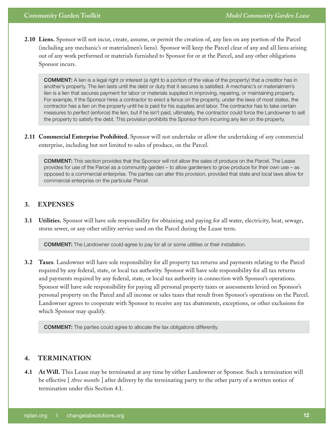**2.10 Liens.** Sponsor will not incur, create, assume, or permit the creation of, any lien on any portion of the Parcel (including any mechanic's or materialmen's liens). Sponsor will keep the Parcel clear of any and all liens arising out of any work performed or materials furnished to Sponsor for or at the Parcel, and any other obligations Sponsor incurs.

COMMENT: A lien is a legal right or interest (a right to a portion of the value of the property) that a creditor has in another's property. The lien lasts until the debt or duty that it secures is satisfied. A mechanic's or materialmen's lien is a lien that secures payment for labor or materials supplied in improving, repairing, or maintaining property. For example, if the Sponsor hires a contractor to erect a fence on the property, under the laws of most states, the contractor has a lien on the property until he is paid for his supplies and labor. The contractor has to take certain measures to *perfect* (enforce) the lien, but if he isn't paid, ultimately, the contractor could force the Landowner to sell the property to satisfy the debt. This provision prohibits the Sponsor from incurring any lien on the property.

**2.11 Commercial Enterprise Prohibited.** Sponsor will not undertake or allow the undertaking of any commercial enterprise, including but not limited to sales of produce, on the Parcel.

COMMENT: This section provides that the Sponsor will not allow the sales of produce on the Parcel. The Lease provides for use of the Parcel as a community garden – to allow gardeners to grow produce for their own use – as opposed to a commercial enterprise. The parties can alter this provision, provided that state and local laws allow for commercial enterprise on the particular Parcel.

#### **3. EXPENSES**

**3.1 Utilities.** Sponsor will have sole responsibility for obtaining and paying for all water, electricity, heat, sewage, storm sewer, or any other utility service used on the Parcel during the Lease term.

COMMENT: The Landowner could agree to pay for all or some utilities or their installation.

**3.2 Taxes**. Landowner will have sole responsibility for all property tax returns and payments relating to the Parcel required by any federal, state, or local tax authority. Sponsor will have sole responsibility for all tax returns and payments required by any federal, state, or local tax authority in connection with Sponsor's operations. Sponsor will have sole responsibility for paying all personal property taxes or assessments levied on Sponsor's personal property on the Parcel and all income or sales taxes that result from Sponsor's operations on the Parcel. Landowner agrees to cooperate with Sponsor to receive any tax abatements, exceptions, or other exclusions for which Sponsor may qualify.

COMMENT: The parties could agree to allocate the tax obligations differently.

#### **4. TERMINATION**

**4.1 At Will.** This Lease may be terminated at any time by either Landowner or Sponsor. Such a termination will be effective [ *three months* ] after delivery by the terminating party to the other party of a written notice of termination under this Section 4.1.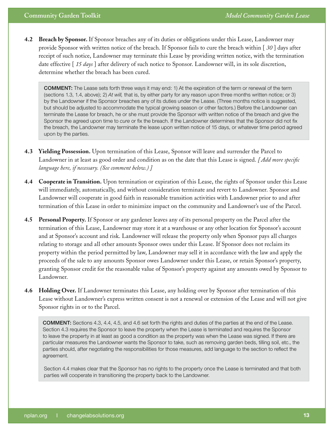**4.2 Breach by Sponsor.** If Sponsor breaches any of its duties or obligations under this Lease, Landowner may provide Sponsor with written notice of the breach. If Sponsor fails to cure the breach within [ *30* ] days after receipt of such notice, Landowner may terminate this Lease by providing written notice, with the termination date effective [ *15 days* ] after delivery of such notice to Sponsor. Landowner will, in its sole discretion, determine whether the breach has been cured.

COMMENT: The Lease sets forth three ways it may end: 1) At the expiration of the term or renewal of the term (sections 1.3, 1.4, above); 2) *At will,* that is, by either party for any reason upon three months written notice; or 3) by the Landowner if the Sponsor breaches any of its duties under the Lease. (Three months notice is suggested, but should be adjusted to accommodate the typical growing season or other factors.) Before the Landowner can terminate the Lease for breach, he or she must provide the Sponsor with written notice of the breach and give the Sponsor the agreed upon time to *cure* or fix the breach. If the Landowner determines that the Sponsor did not fix the breach, the Landowner may terminate the lease upon written notice of 15 days, or whatever time period agreed upon by the parties.

- **4.3 Yielding Possession.** Upon termination of this Lease, Sponsor will leave and surrender the Parcel to Landowner in at least as good order and condition as on the date that this Lease is signed. *[ Add more specific language here, if necessary. (See comment below.) ]*
- **4.4 Cooperate in Transition.** Upon termination or expiration of this Lease, the rights of Sponsor under this Lease will immediately, automatically, and without consideration terminate and revert to Landowner. Sponsor and Landowner will cooperate in good faith in reasonable transition activities with Landowner prior to and after termination of this Lease in order to minimize impact on the community and Landowner's use of the Parcel.
- **4.5 Personal Property.** If Sponsor or any gardener leaves any of its personal property on the Parcel after the termination of this Lease, Landowner may store it at a warehouse or any other location for Sponsor's account and at Sponsor's account and risk. Landowner will release the property only when Sponsor pays all charges relating to storage and all other amounts Sponsor owes under this Lease. If Sponsor does not reclaim its property within the period permitted by law, Landowner may sell it in accordance with the law and apply the proceeds of the sale to any amounts Sponsor owes Landowner under this Lease, or retain Sponsor's property, granting Sponsor credit for the reasonable value of Sponsor's property against any amounts owed by Sponsor to Landowner.
- **4.6 Holding Over.** If Landowner terminates this Lease, any holding over by Sponsor after termination of this Lease without Landowner's express written consent is not a renewal or extension of the Lease and will not give Sponsor rights in or to the Parcel.

COMMENT: Sections 4.3, 4.4, 4.5, and 4.6 set forth the rights and duties of the parties at the end of the Lease. Section 4.3 requires the Sponsor to leave the property when the Lease is terminated and requires the Sponsor to leave the property in at least as good a condition as the property was when the Lease was signed. If there are particular measures the Landowner wants the Sponsor to take, such as removing garden beds, tilling soil, etc., the parties should, after negotiating the responsibilities for those measures, add language to the section to reflect the agreement.

Section 4.4 makes clear that the Sponsor has no rights to the property once the Lease is terminated and that both parties will cooperate in transitioning the property back to the Landowner.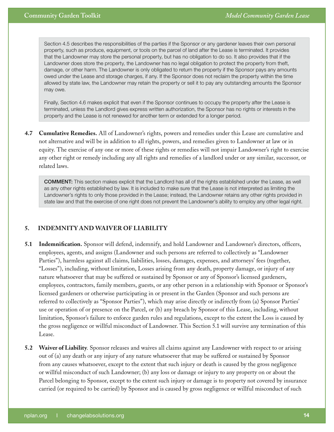Section 4.5 describes the responsibilities of the parties if the Sponsor or any gardener leaves their own personal property, such as produce, equipment, or tools on the parcel of land after the Lease is terminated. It provides that the Landowner may store the personal property, but has no obligation to do so. It also provides that if the Landowner does store the property, the Landowner has no legal obligation to protect the property from theft, damage, or other harm. The Landowner is only obligated to return the property if the Sponsor pays any amounts owed under the Lease and storage charges, if any. If the Sponsor does not reclaim the property within the time allowed by state law, the Landowner may retain the property or sell it to pay any outstanding amounts the Sponsor may owe.

Finally, Section 4.6 makes explicit that even if the Sponsor continues to occupy the property after the Lease is terminated, unless the Landlord gives express written authorization, the Sponsor has no rights or interests in the property and the Lease is not renewed for another term or extended for a longer period.

**4.7 Cumulative Remedies.** All of Landowner's rights, powers and remedies under this Lease are cumulative and not alternative and will be in addition to all rights, powers, and remedies given to Landowner at law or in equity. The exercise of any one or more of these rights or remedies will not impair Landowner's right to exercise any other right or remedy including any all rights and remedies of a landlord under or any similar, successor, or related laws.

COMMENT: This section makes explicit that the Landlord has all of the rights established under the Lease, as well as any other rights established by law. It is included to make sure that the Lease is not interpreted as limiting the Landowner's rights to only those provided in the Lease; instead, the Landowner retains any other rights provided in state law and that the exercise of one right does not prevent the Landowner's ability to employ any other legal right.

#### **5. INDEMNITY AND WAIVER OF LIABILITY**

- **5.1 Indemnification.** Sponsor will defend, indemnify, and hold Landowner and Landowner's directors, officers, employees, agents, and assigns (Landowner and such persons are referred to collectively as "Landowner Parties"), harmless against all claims, liabilities, losses, damages, expenses, and attorneys' fees (together, "Losses"), including, without limitation, Losses arising from any death, property damage, or injury of any nature whatsoever that may be suffered or sustained by Sponsor or any of Sponsor's licensed gardeners, employees, contractors, family members, guests, or any other person in a relationship with Sponsor or Sponsor's licensed gardeners or otherwise participating in or present in the Garden (Sponsor and such persons are referred to collectively as "Sponsor Parties"), which may arise directly or indirectly from (a) Sponsor Parties' use or operation of or presence on the Parcel, or (b) any breach by Sponsor of this Lease, including, without limitation, Sponsor's failure to enforce garden rules and regulations, except to the extent the Loss is caused by the gross negligence or willful misconduct of Landowner. This Section 5.1 will survive any termination of this Lease.
- **5.2 Waiver of Liability**. Sponsor releases and waives all claims against any Landowner with respect to or arising out of (a) any death or any injury of any nature whatsoever that may be suffered or sustained by Sponsor from any causes whatsoever, except to the extent that such injury or death is caused by the gross negligence or willful misconduct of such Landowner; (b) any loss or damage or injury to any property on or about the Parcel belonging to Sponsor, except to the extent such injury or damage is to property not covered by insurance carried (or required to be carried) by Sponsor and is caused by gross negligence or willful misconduct of such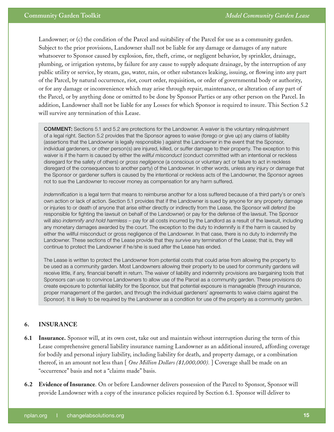Landowner; or (c) the condition of the Parcel and suitability of the Parcel for use as a community garden. Subject to the prior provisions, Landowner shall not be liable for any damage or damages of any nature whatsoever to Sponsor caused by explosion, fire, theft, crime, or negligent behavior, by sprinkler, drainage, plumbing, or irrigation systems, by failure for any cause to supply adequate drainage, by the interruption of any public utility or service, by steam, gas, water, rain, or other substances leaking, issuing, or flowing into any part of the Parcel, by natural occurrence, riot, court order, requisition, or order of governmental body or authority, or for any damage or inconvenience which may arise through repair, maintenance, or alteration of any part of the Parcel, or by anything done or omitted to be done by Sponsor Parties or any other person on the Parcel. In addition, Landowner shall not be liable for any Losses for which Sponsor is required to insure. This Section 5.2 will survive any termination of this Lease.

COMMENT: Sections 5.1 and 5.2 are protections for the Landowner. A *waiver* is the voluntary relinquishment of a legal right. Section 5.2 provides that the Sponsor agrees to *waive* (forego or give up) any claims of liability (assertions that the Landowner is legally responsible ) against the Landowner in the event that the Sponsor, individual gardeners, or other person(s) are injured, killed, or suffer damage to their property. The exception to this waiver is if the harm is caused by either the *willful misconduct* (conduct committed with an intentional or reckless disregard for the safety of others) or *gross negligence* (a conscious or voluntary act or failure to act in reckless disregard of the consequences to another party) of the Landowner. In other words, unless any injury or damage that the Sponsor or gardener suffers is caused by the intentional or reckless acts of the Landowner, the Sponsor agrees not to sue the Landowner to recover money as compensation for any harm suffered.

*Indemnification* is a legal term that means to reimburse another for a loss suffered because of a third party's or one's own action or lack of action. Section 5.1 provides that if the Landowner is sued by anyone for any property damage or injuries to or death of anyone that arise either directly or indirectly from the Lease, the Sponsor will *defend* (be responsible for fighting the lawsuit on behalf of the Landowner) or pay for the defense of the lawsuit. The Sponsor will also *indemnify and hold harmless* – pay for all costs incurred by the Landlord as a result of the lawsuit, including any monetary damages awarded by the court. The exception to the duty to indemnify is if the harm is caused by either the willful misconduct or gross negligence of the Landowner. In that case, there is no duty to indemnify the Landowner. These sections of the Lease provide that they *survive* any termination of the Lease; that is, they will continue to protect the Landowner if he/she is sued after the Lease has ended.

The Lease is written to protect the Landowner from potential costs that could arise from allowing the property to be used as a community garden. Most Landowners allowing their property to be used for community gardens will receive little, if any, financial benefit in return. The waiver of liability and indemnity provisions are bargaining tools that Sponsors can use to convince Landowners to allow use of the Parcel as a community garden. These provisions do create exposure to potential liability for the Sponsor, but that potential exposure is manageable (through insurance, proper management of the garden, and through the individual gardeners' agreements to waive claims against the Sponsor). It is likely to be required by the Landowner as a condition for use of the property as a community garden.

#### **6. INSURANCE**

- **6.1 Insurance.** Sponsor will, at its own cost, take out and maintain without interruption during the term of this Lease comprehensive general liability insurance naming Landowner as an additional insured, affording coverage for bodily and personal injury liability, including liability for death, and property damage, or a combination thereof, in an amount not less than [ *One Million Dollars (\$1,000,000).* ] Coverage shall be made on an "occurrence" basis and not a "claims made" basis.
- **6.2 Evidence of Insurance**. On or before Landowner delivers possession of the Parcel to Sponsor, Sponsor will provide Landowner with a copy of the insurance policies required by Section 6.1. Sponsor will deliver to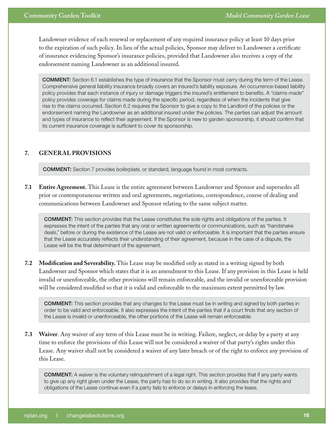#### **Community Garden Toolkit**

Landowner evidence of each renewal or replacement of any required insurance policy at least 10 days prior to the expiration of such policy. In lieu of the actual policies, Sponsor may deliver to Landowner a certificate of insurance evidencing Sponsor's insurance policies, provided that Landowner also receives a copy of the endorsement naming Landowner as an additional insured.

COMMENT: Section 6.1 establishes the type of insurance that the Sponsor must carry during the term of the Lease. Comprehensive general liability insurance broadly covers an insured's liability exposure. An occurrence-based liability policy provides that each instance of injury or damage triggers the insured's entitlement to benefits. A *"claims-made"* policy provides coverage for claims made during the specific period, regardless of when the incidents that give rise to the claims occurred. Section 6.2 requires the Sponsor to give a copy to the Landlord of the policies or the endorsement naming the Landowner as an additional insured under the policies. The parties can adjust the amount and types of insurance to reflect their agreement. If the Sponsor is new to garden sponsorship, it should confirm that its current insurance coverage is sufficient to cover its sponsorship.

#### **7. GENERAL PROVISIONS**

COMMENT: Section 7 provides *boilerplate*, or standard, language found in most contracts.

**7.1 Entire Agreement.** This Lease is the entire agreement between Landowner and Sponsor and supersedes all prior or contemporaneous written and oral agreements, negotiations, correspondence, course of dealing and communications between Landowner and Sponsor relating to the same subject matter.

COMMENT: This section provides that the Lease constitutes the sole rights and obligations of the parties. It expresses the intent of the parties that any oral or written agreements or communications, such as "handshake deals," before or during the existence of the Lease are not valid or enforceable. It is important that the parties ensure that the Lease accurately reflects their understanding of their agreement, because in the case of a dispute, the Lease will be the final determinant of the agreement.

**7.2 Modification and Severability.** This Lease may be modified only as stated in a writing signed by both Landowner and Sponsor which states that it is an amendment to this Lease. If any provision in this Lease is held invalid or unenforceable, the other provisions will remain enforceable, and the invalid or unenforceable provision will be considered modified so that it is valid and enforceable to the maximum extent permitted by law.

COMMENT: This section provides that any changes to the Lease must be in writing and signed by both parties in order to be valid and enforceable. It also expresses the intent of the parties that if a court finds that any section of the Lease is invalid or unenforceable, the other portions of the Lease will remain enforceable.

**7.3 Waiver**. Any waiver of any term of this Lease must be in writing. Failure, neglect, or delay by a party at any time to enforce the provisions of this Lease will not be considered a waiver of that party's rights under this Lease. Any waiver shall not be considered a waiver of any later breach or of the right to enforce any provision of this Lease.

COMMENT: A *waiver* is the voluntary relinquishment of a legal right. This section provides that if any party wants to give up any right given under the Lease, the party has to do so in writing. It also provides that the rights and obligations of the Lease continue even if a party fails to enforce or delays in enforcing the lease.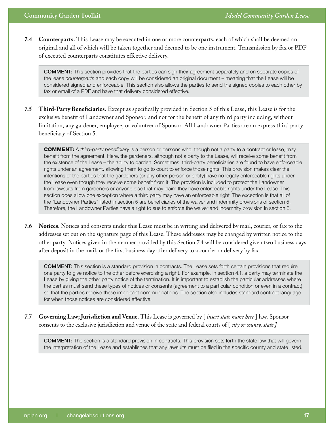**7.4 Counterparts.** This Lease may be executed in one or more counterparts, each of which shall be deemed an original and all of which will be taken together and deemed to be one instrument. Transmission by fax or PDF of executed counterparts constitutes effective delivery.

COMMENT: This section provides that the parties can sign their agreement separately and on separate copies of the lease *counterparts* and each copy will be considered an original document – meaning that the Lease will be considered signed and enforceable. This section also allows the parties to send the signed copies to each other by fax or email of a PDF and have that delivery considered effective.

**7.5 Third-Party Beneficiaries**. Except as specifically provided in Section 5 of this Lease, this Lease is for the exclusive benefit of Landowner and Sponsor, and not for the benefit of any third party including, without limitation, any gardener, employee, or volunteer of Sponsor. All Landowner Parties are an express third party beneficiary of Section 5.

COMMENT: A *third-party beneficiary* is a person or persons who, though not a party to a contract or lease, may benefit from the agreement. Here, the gardeners, although not a party to the Lease, will receive some benefit from the existence of the Lease – the ability to garden. Sometimes, third-party beneficiaries are found to have enforceable rights under an agreement, allowing them to go to court to enforce those rights. This provision makes clear the intentions of the parties that the gardeners (or any other person or entity) have no legally enforceable rights under the Lease even though they receive some benefit from it. The provision is included to protect the Landowner from lawsuits from gardeners or anyone else that may claim they have enforceable rights under the Lease. This section does allow one exception where a third party may have an enforceable right. The exception is that all of the "Landowner Parties" listed in section 5 are beneficiaries of the waiver and indemnity provisions of section 5. Therefore, the Landowner Parties have a right to sue to enforce the waiver and indemnity provision in section 5.

**7.6 Notices**. Notices and consents under this Lease must be in writing and delivered by mail, courier, or fax to the addresses set out on the signature page of this Lease. These addresses may be changed by written notice to the other party. Notices given in the manner provided by this Section 7.4 will be considered given two business days after deposit in the mail, or the first business day after delivery to a courier or delivery by fax.

COMMENT: This section is a standard provision in contracts. The Lease sets forth certain provisions that require one party to give notice to the other before exercising a right. For example, in section 4.1, a party may terminate the Lease by giving the other party notice of the termination. It is important to establish the particular addresses where the parties must send these types of notices or consents (agreement to a particular condition or even in a contract) so that the parties receive these important communications. The section also includes standard contract language for when those notices are considered effective.

**7.7 Governing Law; Jurisdiction and Venue**. This Lease is governed by [ *insert state name here* ] law. Sponsor consents to the exclusive jurisdiction and venue of the state and federal courts of [ *city or county, state ]* 

COMMENT: The section is a standard provision in contracts. This provision sets forth the state law that will govern the interpretation of the Lease and establishes that any lawsuits must be filed in the specific county and state listed.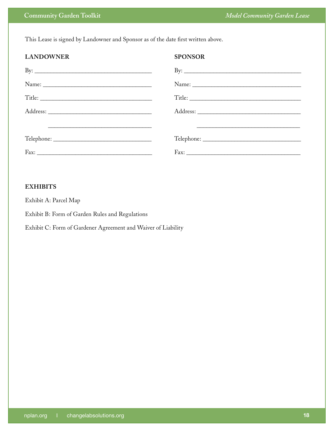This Lease is signed by Landowner and Sponsor as of the date first written above.

| <b>LANDOWNER</b>    | <b>SPONSOR</b> |
|---------------------|----------------|
| By: $\qquad \qquad$ |                |
| Name:               |                |
| Title:              |                |
|                     |                |
|                     |                |
|                     |                |
|                     |                |

#### **EXHIBITS**

Exhibit A: Parcel Map

Exhibit B: Form of Garden Rules and Regulations

Exhibit C: Form of Gardener Agreement and Waiver of Liability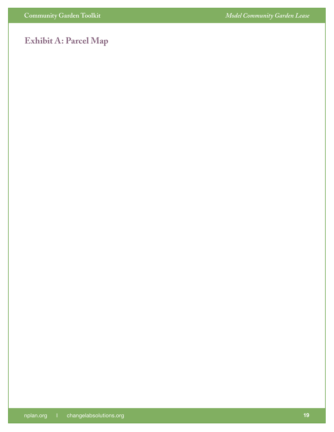### **Exhibit A: Parcel Map**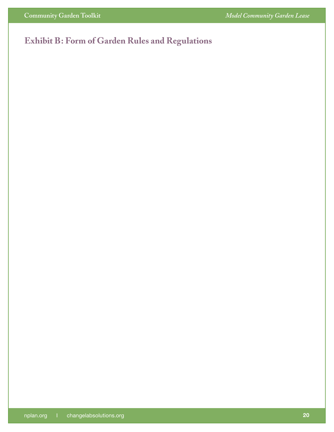### **Exhibit B: Form of Garden Rules and Regulations**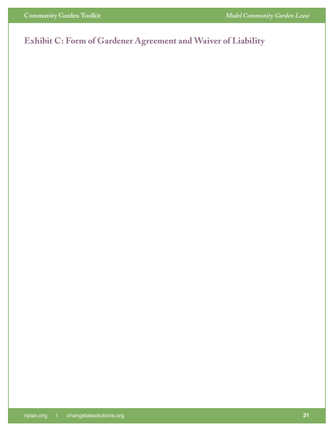### **Exhibit C: Form of Gardener Agreement and Waiver of Liability**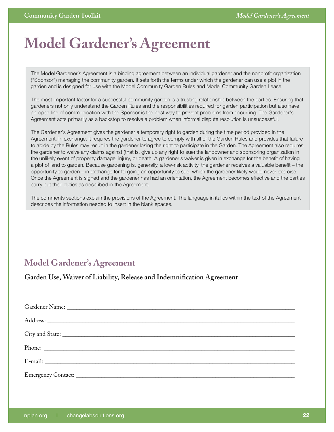# <span id="page-21-0"></span>**Model Gardener's Agreement**

The Model Gardener's Agreement is a binding agreement between an individual gardener and the nonprofit organization ("Sponsor") managing the community garden. It sets forth the terms under which the gardener can use a plot in the garden and is designed for use with the Model Community Garden Rules and Model Community Garden Lease.

The most important factor for a successful community garden is a trusting relationship between the parties. Ensuring that gardeners not only understand the Garden Rules and the responsibilities required for garden participation but also have an open line of communication with the Sponsor is the best way to prevent problems from occurring. The Gardener's Agreement acts primarily as a backstop to resolve a problem when informal dispute resolution is unsuccessful.

The Gardener's Agreement gives the gardener a temporary right to garden during the time period provided in the Agreement. In exchange, it requires the gardener to agree to comply with all of the Garden Rules and provides that failure to abide by the Rules may result in the gardener losing the right to participate in the Garden. The Agreement also requires the gardener to waive any claims against (that is, give up any right to sue) the landowner and sponsoring organization in the unlikely event of property damage, injury, or death. A gardener's waiver is given in exchange for the benefit of having a plot of land to garden. Because gardening is, generally, a low-risk activity, the gardener receives a valuable benefit – the opportunity to garden – in exchange for forgoing an opportunity to sue, which the gardener likely would never exercise. Once the Agreement is signed and the gardener has had an orientation, the Agreement becomes effective and the parties carry out their duties as described in the Agreement.

The comments sections explain the provisions of the Agreement. The language in italics within the text of the Agreement describes the information needed to insert in the blank spaces.

### **Model Gardener's Agreement**

**Garden Use, Waiver of Liability, Release and Indemnification Agreement**

| E-mail: |
|---------|
|         |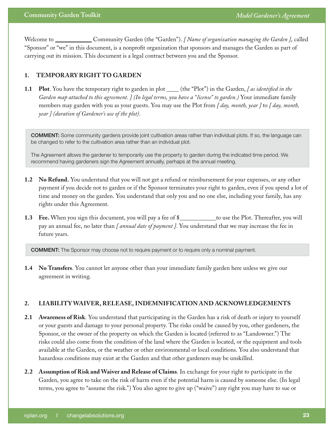Welcome to \_\_\_\_\_\_\_\_\_\_ Community Garden (the "Garden"). *[ Name of organization managing the Garden ]*, called "Sponsor" or "we" in this document, is a nonprofit organization that sponsors and manages the Garden as part of carrying out its mission. This document is a legal contract between you and the Sponsor.

#### **1. TEMPORARY RIGHT TO GARDEN**

**1.1 Plot**. You have the temporary right to garden in plot \_\_\_\_(the "Plot") in the Garden, [as identified in the *Garden map attached to this agreement. ] (In legal terms, you have a "license" to garden.)* Your immediate family members may garden with you as your guests. You may use the Plot from *[ day, month, year ]* to *[ day, month, year ] (duration of Gardener's use of the plot).*

COMMENT: Some community gardens provide joint cultivation areas rather than individual plots. If so, the language can be changed to refer to the cultivation area rather than an individual plot.

The Agreement allows the gardener to temporarily use the property to garden during the indicated time period. We recommend having gardeners sign the Agreement annually, perhaps at the annual meeting.

- **1.2 No Refund.** You understand that you will not get a refund or reimbursement for your expenses, or any other payment if you decide not to garden or if the Sponsor terminates your right to garden, even if you spend a lot of time and money on the garden. You understand that only you and no one else, including your family, has any rights under this Agreement.
- **1.3** Fee. When you sign this document, you will pay a fee of \$\_\_\_\_\_\_\_\_\_\_\_\_to use the Plot. Thereafter, you will pay an annual fee, no later than *[ annual date of payment ].* You understand that we may increase the fee in future years.

COMMENT: The Sponsor may choose not to require payment or to require only a nominal payment.

**1.4 No Transfers**. You cannot let anyone other than your immediate family garden here unless we give our agreement in writing.

#### **2. LIABILITY WAIVER, RELEASE, INDEMNIFICATION AND ACKNOWLEDGEMENTS**

- **2.1 Awareness of Risk**. You understand that participating in the Garden has a risk of death or injury to yourself or your guests and damage to your personal property. The risks could be caused by you, other gardeners, the Sponsor, or the owner of the property on which the Garden is located (referred to as "Landowner.") The risks could also come from the condition of the land where the Garden is located, or the equipment and tools available at the Garden, or the weather or other environmental or local conditions. You also understand that hazardous conditions may exist at the Garden and that other gardeners may be unskilled.
- **2.2 Assumption of Risk and Waiver and Release of Claims**. In exchange for your right to participate in the Garden, you agree to take on the risk of harm even if the potential harm is caused by someone else. (In legal terms, you agree to "assume the risk.") You also agree to give up ("waive") any right you may have to sue or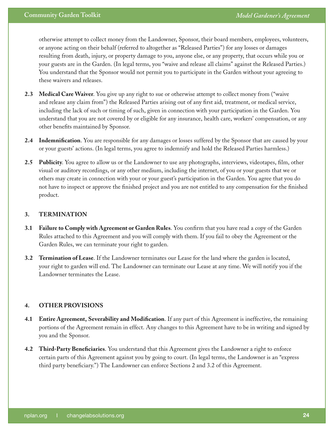otherwise attempt to collect money from the Landowner, Sponsor, their board members, employees, volunteers, or anyone acting on their behalf (referred to altogether as "Released Parties") for any losses or damages resulting from death, injury, or property damage to you, anyone else, or any property, that occurs while you or your guests are in the Garden. (In legal terms, you "waive and release all claims" against the Released Parties.) You understand that the Sponsor would not permit you to participate in the Garden without your agreeing to these waivers and releases.

- **2.3 Medical Care Waiver**. You give up any right to sue or otherwise attempt to collect money from ("waive and release any claim from") the Released Parties arising out of any first aid, treatment, or medical service, including the lack of such or timing of such, given in connection with your participation in the Garden. You understand that you are not covered by or eligible for any insurance, health care, workers' compensation, or any other benefits maintained by Sponsor.
- **2.4 Indemnification**. You are responsible for any damages or losses suffered by the Sponsor that are caused by your or your guests' actions. (In legal terms, you agree to indemnify and hold the Released Parties harmless.)
- **2.5 Publicity**. You agree to allow us or the Landowner to use any photographs, interviews, videotapes, film, other visual or auditory recordings, or any other medium, including the internet, of you or your guests that we or others may create in connection with your or your guest's participation in the Garden. You agree that you do not have to inspect or approve the finished project and you are not entitled to any compensation for the finished product.

#### **3. TERMINATION**

- **3.1 Failure to Comply with Agreement or Garden Rules**. You confirm that you have read a copy of the Garden Rules attached to this Agreement and you will comply with them. If you fail to obey the Agreement or the Garden Rules, we can terminate your right to garden.
- **3.2 Termination of Lease**. If the Landowner terminates our Lease for the land where the garden is located, your right to garden will end. The Landowner can terminate our Lease at any time. We will notify you if the Landowner terminates the Lease.

#### **4. OTHER PROVISIONS**

- **4.1 Entire Agreement, Severability and Modification**. If any part of this Agreement is ineffective, the remaining portions of the Agreement remain in effect. Any changes to this Agreement have to be in writing and signed by you and the Sponsor.
- **4.2 Third-Party Beneficiaries**. You understand that this Agreement gives the Landowner a right to enforce certain parts of this Agreement against you by going to court. (In legal terms, the Landowner is an "express third party beneficiary.") The Landowner can enforce Sections 2 and 3.2 of this Agreement.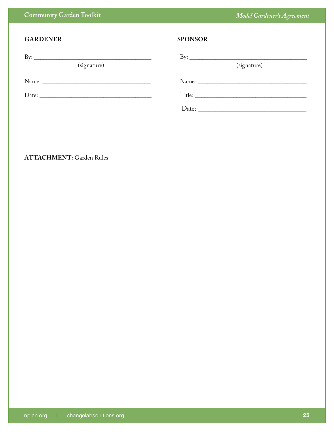| <b>GARDENER</b>                    | <b>SPONSOR</b>                              |
|------------------------------------|---------------------------------------------|
| By: $\qquad \qquad$<br>(signature) | By: $\overline{\phantom{a}}$<br>(signature) |
|                                    |                                             |
|                                    | Title:                                      |
|                                    |                                             |

#### **ATTACHMENT:** Garden Rules

**Community Garden Toolkit**

*Model Gardener's Agreement*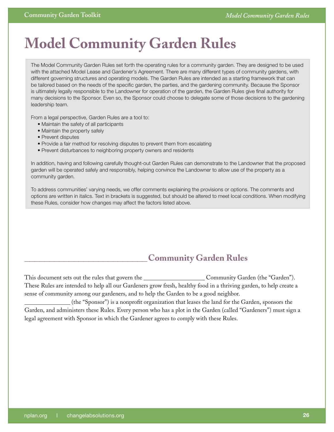# <span id="page-25-0"></span>**Model Community Garden Rules**

The Model Community Garden Rules set forth the operating rules for a community garden. They are designed to be used with the attached Model Lease and Gardener's Agreement. There are many different types of community gardens, with different governing structures and operating models. The Garden Rules are intended as a starting framework that can be tailored based on the needs of the specific garden, the parties, and the gardening community. Because the Sponsor is ultimately legally responsible to the Landowner for operation of the garden, the Garden Rules give final authority for many decisions to the Sponsor. Even so, the Sponsor could choose to delegate some of those decisions to the gardening leadership team.

From a legal perspective, Garden Rules are a tool to:

- • Maintain the safety of all participants
- Maintain the property safely
- Prevent disputes
- Provide a fair method for resolving disputes to prevent them from escalating
- Prevent disturbances to neighboring property owners and residents

In addition, having and following carefully thought-out Garden Rules can demonstrate to the Landowner that the proposed garden will be operated safely and responsibly, helping convince the Landowner to allow use of the property as a community garden.

To address communities' varying needs, we offer comments explaining the provisions or options. The comments and options are written in italics. Text in brackets is suggested, but should be altered to meet local conditions. When modifying these Rules, consider how changes may affect the factors listed above.

### **\_\_\_\_\_\_\_\_\_\_\_\_\_\_\_\_\_\_\_\_\_\_\_\_\_ Community Garden Rules**

This document sets out the rules that govern the Community Garden (the "Garden"). These Rules are intended to help all our Gardeners grow fresh, healthy food in a thriving garden, to help create a sense of community among our gardeners, and to help the Garden to be a good neighbor.

 (the "Sponsor") is a nonprofit organization that leases the land for the Garden, sponsors the Garden, and administers these Rules. Every person who has a plot in the Garden (called "Gardeners") must sign a legal agreement with Sponsor in which the Gardener agrees to comply with these Rules.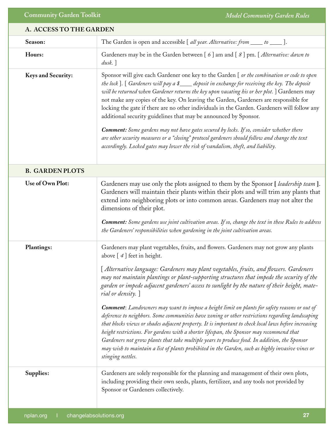#### **A. ACCESS TO THE GARDEN**

| Season:                   | The Garden is open and accessible [ all year. Alternative: from _____ to _____ ].                                                                                                                                                                                                                                                                                                                                                                                                                                                                                                                                                                                                                                                                                                                                                                                                                                                                                                                                                                                         |
|---------------------------|---------------------------------------------------------------------------------------------------------------------------------------------------------------------------------------------------------------------------------------------------------------------------------------------------------------------------------------------------------------------------------------------------------------------------------------------------------------------------------------------------------------------------------------------------------------------------------------------------------------------------------------------------------------------------------------------------------------------------------------------------------------------------------------------------------------------------------------------------------------------------------------------------------------------------------------------------------------------------------------------------------------------------------------------------------------------------|
| Hours:                    | Gardeners may be in the Garden between [6] am and [8] pm. [Alternative: dawn to<br>$dusk.$ ]                                                                                                                                                                                                                                                                                                                                                                                                                                                                                                                                                                                                                                                                                                                                                                                                                                                                                                                                                                              |
| <b>Keys and Security:</b> | Sponsor will give each Gardener one key to the Garden [ or the combination or code to open<br>the lock]. [ Gardeners will pay a \$___ deposit in exchange for receiving the key. The deposit<br>will be returned when Gardener returns the key upon vacating his or her plot. ] Gardeners may<br>not make any copies of the key. On leaving the Garden, Gardeners are responsible for<br>locking the gate if there are no other individuals in the Garden. Gardeners will follow any<br>additional security guidelines that may be announced by Sponsor.<br><b>Comment:</b> Some gardens may not have gates secured by locks. If so, consider whether there<br>are other security measures or a "closing" protocol gardeners should follow and change the text<br>accordingly. Locked gates may lower the risk of vandalism, theft, and liability.                                                                                                                                                                                                                        |
| <b>B. GARDEN PLOTS</b>    |                                                                                                                                                                                                                                                                                                                                                                                                                                                                                                                                                                                                                                                                                                                                                                                                                                                                                                                                                                                                                                                                           |
| Use of Own Plot:          | Gardeners may use only the plots assigned to them by the Sponsor [leadership team].<br>Gardeners will maintain their plants within their plots and will trim any plants that<br>extend into neighboring plots or into common areas. Gardeners may not alter the<br>dimensions of their plot.<br>Comment: Some gardens use joint cultivation areas. If so, change the text in these Rules to address<br>the Gardeners' responsibilities when gardening in the joint cultivation areas.                                                                                                                                                                                                                                                                                                                                                                                                                                                                                                                                                                                     |
| <b>Plantings:</b>         | Gardeners may plant vegetables, fruits, and flowers. Gardeners may not grow any plants<br>above $[4]$ feet in height.<br>[Alternative language: Gardeners may plant vegetables, fruits, and flowers. Gardeners<br>may not maintain plantings or plant-supporting structures that impede the security of the<br>garden or impede adjacent gardeners' access to sunlight by the nature of their height, mate–<br>rial or density. ]<br><b>Comment:</b> Landowners may want to impose a height limit on plants for safety reasons or out of<br>deference to neighbors. Some communities have zoning or other restrictions regarding landscaping<br>that blocks views or shades adjacent property. It is important to check local laws before increasing<br>height restrictions. For gardens with a shorter lifespan, the Sponsor may recommend that<br>Gardeners not grow plants that take multiple years to produce food. In addition, the Sponsor<br>may wish to maintain a list of plants prohibited in the Garden, such as highly invasive vines or<br>stinging nettles. |
| Supplies:                 | Gardeners are solely responsible for the planning and management of their own plots,<br>including providing their own seeds, plants, fertilizer, and any tools not provided by<br>Sponsor or Gardeners collectively.                                                                                                                                                                                                                                                                                                                                                                                                                                                                                                                                                                                                                                                                                                                                                                                                                                                      |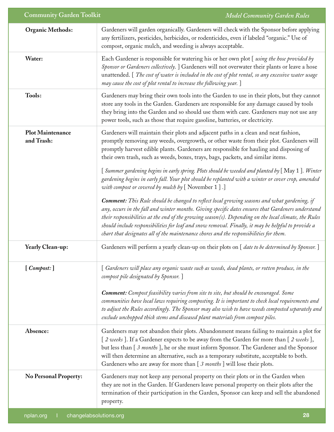| <b>Community Garden Toolkit</b>       | <b>Model Community Garden Rules</b>                                                                                                                                                                                                                                                                                                                                                                                                                                                                                |
|---------------------------------------|--------------------------------------------------------------------------------------------------------------------------------------------------------------------------------------------------------------------------------------------------------------------------------------------------------------------------------------------------------------------------------------------------------------------------------------------------------------------------------------------------------------------|
| <b>Organic Methods:</b>               | Gardeners will garden organically. Gardeners will check with the Sponsor before applying<br>any fertilizers, pesticides, herbicides, or rodenticides, even if labeled "organic." Use of<br>compost, organic mulch, and weeding is always acceptable.                                                                                                                                                                                                                                                               |
| Water:                                | Each Gardener is responsible for watering his or her own plot [using the hose provided by<br>Sponsor or Gardeners collectively. ] Gardeners will not overwater their plants or leave a hose<br>unattended. [ <i>The cost of water is included in the cost of plot rental, so any excessive water usage</i><br>may cause the cost of plot rental to increase the following year. ]                                                                                                                                  |
| Tools:                                | Gardeners may bring their own tools into the Garden to use in their plots, but they cannot<br>store any tools in the Garden. Gardeners are responsible for any damage caused by tools<br>they bring into the Garden and so should use them with care. Gardeners may not use any<br>power tools, such as those that require gasoline, batteries, or electricity.                                                                                                                                                    |
| <b>Plot Maintenance</b><br>and Trash: | Gardeners will maintain their plots and adjacent paths in a clean and neat fashion,<br>promptly removing any weeds, overgrowth, or other waste from their plot. Gardeners will<br>promptly harvest edible plants. Gardeners are responsible for hauling and disposing of<br>their own trash, such as weeds, boxes, trays, bags, packets, and similar items.                                                                                                                                                        |
|                                       | [Summer gardening begins in early spring. Plots should be weeded and planted by [May 1]. Winter<br>gardening begins in early fall. Your plot should be replanted with a winter or cover crop, amended<br>with compost or covered by mulch by $[$ November $1]$ .]                                                                                                                                                                                                                                                  |
|                                       | <b>Comment:</b> This Rule should be changed to reflect local growing seasons and what gardening, if<br>any, occurs in the fall and winter months. Giving specific dates ensures that Gardeners understand<br>their responsibilities at the end of the growing season(s). Depending on the local climate, the Rules<br>should include responsibilities for leaf and snow removal. Finally, it may be helpful to provide a<br>chart that designates all of the maintenance chores and the responsibilities for them. |
| Yearly Clean-up:                      | Gardeners will perform a yearly clean-up on their plots on [ date to be determined by Sponsor. ]                                                                                                                                                                                                                                                                                                                                                                                                                   |
| [Compost:]                            | [ Gardeners will place any organic waste such as weeds, dead plants, or rotten produce, in the<br>compost pile designated by Sponsor.]                                                                                                                                                                                                                                                                                                                                                                             |
|                                       | Comment: Compost feasibility varies from site to site, but should be encouraged. Some<br>communities have local laws requiring composting. It is important to check local requirements and<br>to adjust the Rules accordingly. The Sponsor may also wish to have weeds composted separately and<br>exclude unchopped thick stems and diseased plant materials from compost piles.                                                                                                                                  |
| Absence:                              | Gardeners may not abandon their plots. Abandonment means failing to maintain a plot for<br>[2 weeks]. If a Gardener expects to be away from the Garden for more than [2 weeks],<br>but less than [3 months], he or she must inform Sponsor. The Gardener and the Sponsor<br>will then determine an alternative, such as a temporary substitute, acceptable to both.<br>Gardeners who are away for more than [ 3 months ] will lose their plots.                                                                    |
| <b>No Personal Property:</b>          | Gardeners may not keep any personal property on their plots or in the Garden when<br>they are not in the Garden. If Gardeners leave personal property on their plots after the<br>termination of their participation in the Garden, Sponsor can keep and sell the abandoned<br>property.                                                                                                                                                                                                                           |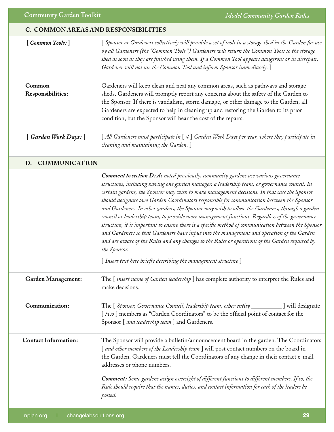#### **C. COMMON AREAS AND RESPONSIBILITIES**

| [Common Tools:]             | [Sponsor or Gardeners collectively will provide a set of tools in a storage shed in the Garden for use<br>by all Gardeners (the "Common Tools.") Gardeners will return the Common Tools to the storage<br>shed as soon as they are finished using them. If a Common Tool appears dangerous or in disrepair,<br>Gardener will not use the Common Tool and inform Sponsor immediately. ]                                                                                                                                                                                                                                                                                                                                                                                                                                                                                                                                                                                                   |
|-----------------------------|------------------------------------------------------------------------------------------------------------------------------------------------------------------------------------------------------------------------------------------------------------------------------------------------------------------------------------------------------------------------------------------------------------------------------------------------------------------------------------------------------------------------------------------------------------------------------------------------------------------------------------------------------------------------------------------------------------------------------------------------------------------------------------------------------------------------------------------------------------------------------------------------------------------------------------------------------------------------------------------|
| Common<br>Responsibilities: | Gardeners will keep clean and neat any common areas, such as pathways and storage<br>sheds. Gardeners will promptly report any concerns about the safety of the Garden to<br>the Sponsor. If there is vandalism, storm damage, or other damage to the Garden, all<br>Gardeners are expected to help in cleaning up and restoring the Garden to its prior<br>condition, but the Sponsor will bear the cost of the repairs.                                                                                                                                                                                                                                                                                                                                                                                                                                                                                                                                                                |
| [Garden Work Days:]         | [ All Gardeners must participate in [ 4 ] Garden Work Days per year, where they participate in<br>cleaning and maintaining the Garden.]                                                                                                                                                                                                                                                                                                                                                                                                                                                                                                                                                                                                                                                                                                                                                                                                                                                  |
| D. COMMUNICATION            |                                                                                                                                                                                                                                                                                                                                                                                                                                                                                                                                                                                                                                                                                                                                                                                                                                                                                                                                                                                          |
|                             | <b>Comment to section D:</b> As noted previously, community gardens use various governance<br>structures, including having one garden manager, a leadership team, or governance council. In<br>certain gardens, the Sponsor may wish to make management decisions. In that case the Sponsor<br>should designate two Garden Coordinators responsible for communication between the Sponsor<br>and Gardeners. In other gardens, the Sponsor may wish to allow the Gardeners, through a garden<br>council or leadership team, to provide more management functions. Regardless of the governance<br>structure, it is important to ensure there is a specific method of communication between the Sponsor<br>and Gardeners so that Gardeners have input into the management and operation of the Garden<br>and are aware of the Rules and any changes to the Rules or operations of the Garden required by<br>the Sponsor.<br>[Insert text here briefly describing the management structure] |
| <b>Garden Management:</b>   | The [insert name of Garden leadership] has complete authority to interpret the Rules and<br>make decisions.                                                                                                                                                                                                                                                                                                                                                                                                                                                                                                                                                                                                                                                                                                                                                                                                                                                                              |
| Communication:              | The [ Sponsor, Governance Council, leadership team, other entity _________] will designate<br>[two] members as "Garden Coordinators" to be the official point of contact for the<br>Sponsor [ and leadership team ] and Gardeners.                                                                                                                                                                                                                                                                                                                                                                                                                                                                                                                                                                                                                                                                                                                                                       |
| <b>Contact Information:</b> | The Sponsor will provide a bulletin/announcement board in the garden. The Coordinators<br>[ and other members of the Leadership team ] will post contact numbers on the board in<br>the Garden. Gardeners must tell the Coordinators of any change in their contact e-mail<br>addresses or phone numbers.<br><b>Comment:</b> Some gardens assign oversight of different functions to different members. If so, the<br>Rule should require that the names, duties, and contact information for each of the leaders be<br>posted.                                                                                                                                                                                                                                                                                                                                                                                                                                                          |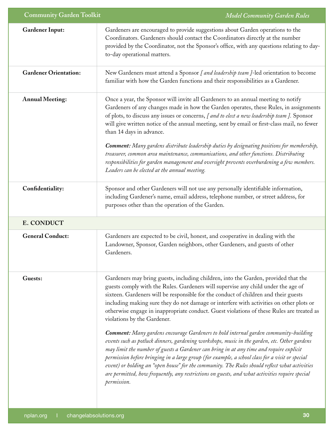| <b>Community Garden Toolkit</b> | <b>Model Community Garden Rules</b>                                                                                                                                                                                                                                                                                                                                                                                                                                                                                                                                                                                                                                                                                                                                                                                                                                                                                                                                                                                                                                                                  |
|---------------------------------|------------------------------------------------------------------------------------------------------------------------------------------------------------------------------------------------------------------------------------------------------------------------------------------------------------------------------------------------------------------------------------------------------------------------------------------------------------------------------------------------------------------------------------------------------------------------------------------------------------------------------------------------------------------------------------------------------------------------------------------------------------------------------------------------------------------------------------------------------------------------------------------------------------------------------------------------------------------------------------------------------------------------------------------------------------------------------------------------------|
| <b>Gardener Input:</b>          | Gardeners are encouraged to provide suggestions about Garden operations to the<br>Coordinators. Gardeners should contact the Coordinators directly at the number<br>provided by the Coordinator, not the Sponsor's office, with any questions relating to day-<br>to-day operational matters.                                                                                                                                                                                                                                                                                                                                                                                                                                                                                                                                                                                                                                                                                                                                                                                                        |
| <b>Gardener Orientation:</b>    | New Gardeners must attend a Sponsor [ and leadership team ]-led orientation to become<br>familiar with how the Garden functions and their responsibilities as a Gardener.                                                                                                                                                                                                                                                                                                                                                                                                                                                                                                                                                                                                                                                                                                                                                                                                                                                                                                                            |
| <b>Annual Meeting:</b>          | Once a year, the Sponsor will invite all Gardeners to an annual meeting to notify<br>Gardeners of any changes made in how the Garden operates, these Rules, in assignments<br>of plots, to discuss any issues or concerns, [ and to elect a new leadership team ]. Sponsor<br>will give written notice of the annual meeting, sent by email or first-class mail, no fewer<br>than 14 days in advance.                                                                                                                                                                                                                                                                                                                                                                                                                                                                                                                                                                                                                                                                                                |
|                                 | <b>Comment:</b> Many gardens distribute leadership duties by designating positions for membership,<br>treasurer, common area maintenance, communications, and other functions. Distributing<br>responsibilities for garden management and oversight prevents overburdening a few members.<br>Leaders can be elected at the annual meeting.                                                                                                                                                                                                                                                                                                                                                                                                                                                                                                                                                                                                                                                                                                                                                           |
| Confidentiality:                | Sponsor and other Gardeners will not use any personally identifiable information,<br>including Gardener's name, email address, telephone number, or street address, for<br>purposes other than the operation of the Garden.                                                                                                                                                                                                                                                                                                                                                                                                                                                                                                                                                                                                                                                                                                                                                                                                                                                                          |
| <b>E. CONDUCT</b>               |                                                                                                                                                                                                                                                                                                                                                                                                                                                                                                                                                                                                                                                                                                                                                                                                                                                                                                                                                                                                                                                                                                      |
| <b>General Conduct:</b>         | Gardeners are expected to be civil, honest, and cooperative in dealing with the<br>Landowner, Sponsor, Garden neighbors, other Gardeners, and guests of other<br>Gardeners.                                                                                                                                                                                                                                                                                                                                                                                                                                                                                                                                                                                                                                                                                                                                                                                                                                                                                                                          |
| Guests:                         | Gardeners may bring guests, including children, into the Garden, provided that the<br>guests comply with the Rules. Gardeners will supervise any child under the age of<br>sixteen. Gardeners will be responsible for the conduct of children and their guests<br>including making sure they do not damage or interfere with activities on other plots or<br>otherwise engage in inappropriate conduct. Guest violations of these Rules are treated as<br>violations by the Gardener.<br><b>Comment:</b> Many gardens encourage Gardeners to hold internal garden community-building<br>events such as potluck dinners, gardening workshops, music in the garden, etc. Other gardens<br>may limit the number of guests a Gardener can bring in at any time and require explicit<br>permission before bringing in a large group (for example, a school class for a visit or special<br>event) or holding an "open house" for the community. The Rules should reflect what activities<br>are permitted, how frequently, any restrictions on guests, and what activities require special<br>permission. |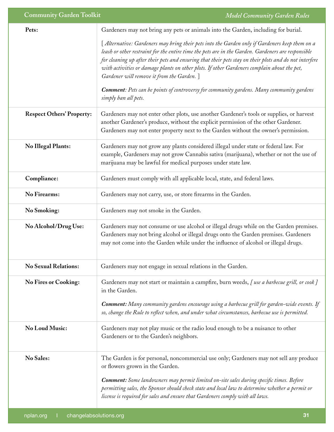| <b>Community Garden Toolkit</b>  | <b>Model Community Garden Rules</b>                                                                                                                                                                                                                                                                                                                                                                                                                        |
|----------------------------------|------------------------------------------------------------------------------------------------------------------------------------------------------------------------------------------------------------------------------------------------------------------------------------------------------------------------------------------------------------------------------------------------------------------------------------------------------------|
| Pets:                            | Gardeners may not bring any pets or animals into the Garden, including for burial.                                                                                                                                                                                                                                                                                                                                                                         |
|                                  | [ Alternative: Gardeners may bring their pets into the Garden only if Gardeners keep them on a<br>leash or other restraint for the entire time the pets are in the Garden. Gardeners are responsible<br>for cleaning up after their pets and ensuring that their pets stay on their plots and do not interfere<br>with activities or damage plants on other plots. If other Gardeners complain about the pet,<br>Gardener will remove it from the Garden.] |
|                                  | <b>Comment</b> : Pets can be points of controversy for community gardens. Many community gardens<br>simply ban all pets.                                                                                                                                                                                                                                                                                                                                   |
| <b>Respect Others' Property:</b> | Gardeners may not enter other plots, use another Gardener's tools or supplies, or harvest<br>another Gardener's produce, without the explicit permission of the other Gardener.<br>Gardeners may not enter property next to the Garden without the owner's permission.                                                                                                                                                                                     |
| <b>No Illegal Plants:</b>        | Gardeners may not grow any plants considered illegal under state or federal law. For<br>example, Gardeners may not grow Cannabis sativa (marijuana), whether or not the use of<br>marijuana may be lawful for medical purposes under state law.                                                                                                                                                                                                            |
| Compliance:                      | Gardeners must comply with all applicable local, state, and federal laws.                                                                                                                                                                                                                                                                                                                                                                                  |
| <b>No Firearms:</b>              | Gardeners may not carry, use, or store firearms in the Garden.                                                                                                                                                                                                                                                                                                                                                                                             |
| <b>No Smoking:</b>               | Gardeners may not smoke in the Garden.                                                                                                                                                                                                                                                                                                                                                                                                                     |
| No Alcohol/Drug Use:             | Gardeners may not consume or use alcohol or illegal drugs while on the Garden premises.<br>Gardeners may not bring alcohol or illegal drugs onto the Garden premises. Gardeners<br>may not come into the Garden while under the influence of alcohol or illegal drugs.                                                                                                                                                                                     |
| <b>No Sexual Relations:</b>      | Gardeners may not engage in sexual relations in the Garden.                                                                                                                                                                                                                                                                                                                                                                                                |
| <b>No Fires or Cooking:</b>      | Gardeners may not start or maintain a campfire, burn weeds, [use a barbecue grill, or cook]<br>in the Garden.                                                                                                                                                                                                                                                                                                                                              |
|                                  | <b>Comment:</b> Many community gardens encourage using a barbecue grill for garden-wide events. If<br>so, change the Rule to reflect when, and under what circumstances, barbecue use is permitted.                                                                                                                                                                                                                                                        |
| <b>No Loud Music:</b>            | Gardeners may not play music or the radio loud enough to be a nuisance to other<br>Gardeners or to the Garden's neighbors.                                                                                                                                                                                                                                                                                                                                 |
| <b>No Sales:</b>                 | The Garden is for personal, noncommercial use only; Gardeners may not sell any produce<br>or flowers grown in the Garden.<br>Comment: Some landowners may permit limited on-site sales during specific times. Before<br>permitting sales, the Sponsor should check state and local law to determine whether a permit or<br>license is required for sales and ensure that Gardeners comply with all laws.                                                   |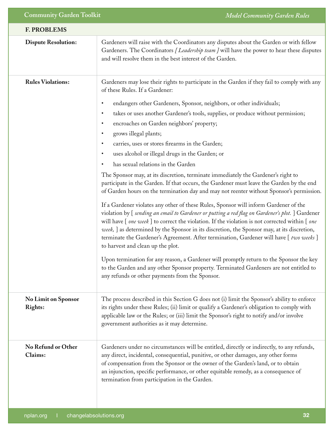| <b>F. PROBLEMS</b>                           |                                                                                                                                                                                                                                                                                                                                                                                                                                                                                                                                                                                                                                                                                                                                                                                                                                                                                                                                                                                                                                                                                                                                                                                                                                                                                                                                                                                                                                                                                                                                                                                                                     |
|----------------------------------------------|---------------------------------------------------------------------------------------------------------------------------------------------------------------------------------------------------------------------------------------------------------------------------------------------------------------------------------------------------------------------------------------------------------------------------------------------------------------------------------------------------------------------------------------------------------------------------------------------------------------------------------------------------------------------------------------------------------------------------------------------------------------------------------------------------------------------------------------------------------------------------------------------------------------------------------------------------------------------------------------------------------------------------------------------------------------------------------------------------------------------------------------------------------------------------------------------------------------------------------------------------------------------------------------------------------------------------------------------------------------------------------------------------------------------------------------------------------------------------------------------------------------------------------------------------------------------------------------------------------------------|
| <b>Dispute Resolution:</b>                   | Gardeners will raise with the Coordinators any disputes about the Garden or with fellow<br>Gardeners. The Coordinators [Leadership team] will have the power to hear these disputes<br>and will resolve them in the best interest of the Garden.                                                                                                                                                                                                                                                                                                                                                                                                                                                                                                                                                                                                                                                                                                                                                                                                                                                                                                                                                                                                                                                                                                                                                                                                                                                                                                                                                                    |
| <b>Rules Violations:</b>                     | Gardeners may lose their rights to participate in the Garden if they fail to comply with any<br>of these Rules. If a Gardener:<br>endangers other Gardeners, Sponsor, neighbors, or other individuals;<br>٠<br>takes or uses another Gardener's tools, supplies, or produce without permission;<br>٠<br>encroaches on Garden neighbors' property;<br>$\bullet$<br>grows illegal plants;<br>$\bullet$<br>carries, uses or stores firearms in the Garden;<br>uses alcohol or illegal drugs in the Garden; or<br>٠<br>has sexual relations in the Garden<br>$\bullet$<br>The Sponsor may, at its discretion, terminate immediately the Gardener's right to<br>participate in the Garden. If that occurs, the Gardener must leave the Garden by the end<br>of Garden hours on the termination day and may not reenter without Sponsor's permission.<br>If a Gardener violates any other of these Rules, Sponsor will inform Gardener of the<br>violation by [ sending an email to Gardener or putting a red flag on Gardener's plot. ] Gardener<br>will have [ one week ] to correct the violation. If the violation is not corrected within [ one<br>week, ] as determined by the Sponsor in its discretion, the Sponsor may, at its discretion,<br>terminate the Gardener's Agreement. After termination, Gardener will have [two weeks]<br>to harvest and clean up the plot.<br>Upon termination for any reason, a Gardener will promptly return to the Sponsor the key<br>to the Garden and any other Sponsor property. Terminated Gardeners are not entitled to<br>any refunds or other payments from the Sponsor. |
| <b>No Limit on Sponsor</b><br><b>Rights:</b> | The process described in this Section G does not (i) limit the Sponsor's ability to enforce<br>its rights under these Rules; (ii) limit or qualify a Gardener's obligation to comply with<br>applicable law or the Rules; or (iii) limit the Sponsor's right to notify and/or involve<br>government authorities as it may determine.                                                                                                                                                                                                                                                                                                                                                                                                                                                                                                                                                                                                                                                                                                                                                                                                                                                                                                                                                                                                                                                                                                                                                                                                                                                                                |
| No Refund or Other<br>Claims:                | Gardeners under no circumstances will be entitled, directly or indirectly, to any refunds,<br>any direct, incidental, consequential, punitive, or other damages, any other forms<br>of compensation from the Sponsor or the owner of the Garden's land, or to obtain<br>an injunction, specific performance, or other equitable remedy, as a consequence of<br>termination from participation in the Garden.                                                                                                                                                                                                                                                                                                                                                                                                                                                                                                                                                                                                                                                                                                                                                                                                                                                                                                                                                                                                                                                                                                                                                                                                        |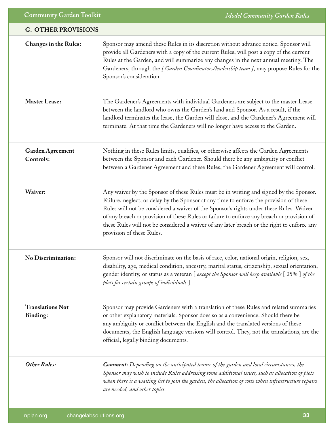| <b>G. OTHER PROVISIONS</b>           |                                                                                                                                                                                                                                                                                                                                                                                                                                                                                                        |
|--------------------------------------|--------------------------------------------------------------------------------------------------------------------------------------------------------------------------------------------------------------------------------------------------------------------------------------------------------------------------------------------------------------------------------------------------------------------------------------------------------------------------------------------------------|
| <b>Changes in the Rules:</b>         | Sponsor may amend these Rules in its discretion without advance notice. Sponsor will<br>provide all Gardeners with a copy of the current Rules, will post a copy of the current<br>Rules at the Garden, and will summarize any changes in the next annual meeting. The<br>Gardeners, through the [ Garden Coordinators/leadership team ], may propose Rules for the<br>Sponsor's consideration.                                                                                                        |
| <b>Master Lease:</b>                 | The Gardener's Agreements with individual Gardeners are subject to the master Lease<br>between the landlord who owns the Garden's land and Sponsor. As a result, if the<br>landlord terminates the lease, the Garden will close, and the Gardener's Agreement will<br>terminate. At that time the Gardeners will no longer have access to the Garden.                                                                                                                                                  |
| <b>Garden Agreement</b><br>Controls: | Nothing in these Rules limits, qualifies, or otherwise affects the Garden Agreements<br>between the Sponsor and each Gardener. Should there be any ambiguity or conflict<br>between a Gardener Agreement and these Rules, the Gardener Agreement will control.                                                                                                                                                                                                                                         |
| Waiver:                              | Any waiver by the Sponsor of these Rules must be in writing and signed by the Sponsor.<br>Failure, neglect, or delay by the Sponsor at any time to enforce the provision of these<br>Rules will not be considered a waiver of the Sponsor's rights under these Rules. Waiver<br>of any breach or provision of these Rules or failure to enforce any breach or provision of<br>these Rules will not be considered a waiver of any later breach or the right to enforce any<br>provision of these Rules. |
| <b>No Discrimination:</b>            | Sponsor will not discriminate on the basis of race, color, national origin, religion, sex,<br>disability, age, medical condition, ancestry, marital status, citizenship, sexual orientation,<br>gender identity, or status as a veteran [except the Sponsor will keep available [25%] of the<br>plots for certain groups of individuals ].                                                                                                                                                             |
| <b>Translations Not</b><br>Binding:  | Sponsor may provide Gardeners with a translation of these Rules and related summaries<br>or other explanatory materials. Sponsor does so as a convenience. Should there be<br>any ambiguity or conflict between the English and the translated versions of these<br>documents, the English language versions will control. They, not the translations, are the<br>official, legally binding documents.                                                                                                 |
| <b>Other Rules:</b>                  | <b>Comment:</b> Depending on the anticipated tenure of the garden and local circumstances, the<br>Sponsor may wish to include Rules addressing some additional issues, such as allocation of plots<br>when there is a waiting list to join the garden, the allocation of costs when infrastructure repairs<br>are needed, and other topics.                                                                                                                                                            |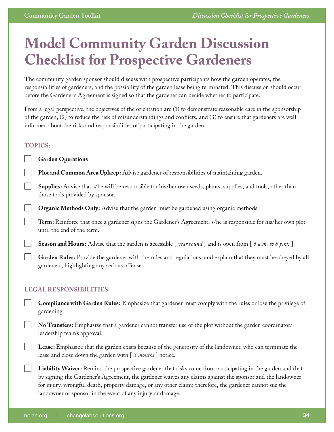# <span id="page-33-0"></span>**Model Community Garden Discussion Checklist for Prospective Gardeners**

The community garden sponsor should discuss with prospective participants how the garden operates, the responsibilities of gardeners, and the possibility of the garden lease being terminated. This discussion should occur before the Gardener's Agreement is signed so that the gardener can decide whether to participate.

From a legal perspective, the objectives of the orientation are (1) to demonstrate reasonable care in the sponsorship of the garden, (2) to reduce the risk of misunderstandings and conflicts, and (3) to ensure that gardeners are well informed about the risks and responsibilities of participating in the garden.

#### **TOPICS:**

**Garden Operations**

**Plot and Common Area Upkeep:** Advise gardener of responsibilities of maintaining garden.

**Supplies:** Advise that s/he will be responsible for his/her own seeds, plants, supplies, and tools, other than those tools provided by sponsor.

**Organic Methods Only:** Advise that the garden must be gardened using organic methods.

**Term:** Reinforce that once a gardener signs the Gardener's Agreement, s/he is responsible for his/her own plot until the end of the term.

**Season and Hours:** Advise that the garden is accessible [*year round* ] and is open from [ 6 a.m. to 8 p.m. ]

**Garden Rules:** Provide the gardener with the rules and regulations, and explain that they must be obeyed by all gardeners, highlighting any serious offenses.

#### **LEGAL RESPONSIBILITIES**

**Compliance with Garden Rules:** Emphasize that gardener must comply with the rules or lose the privilege of gardening.

**No Transfers:** Emphasize that a gardener cannot transfer use of the plot without the garden coordinator/ leadership team's approval.

**Lease:** Emphasize that the garden exists because of the generosity of the landowner, who can terminate the lease and close down the garden with [ *3 months* ] notice.

**Liability Waiver:** Remind the prospective gardener that risks come from participating in the garden and that by signing the Gardener's Agreement, the gardener waives any claims against the sponsor and the landowner for injury, wrongful death, property damage, or any other claim; therefore, the gardener cannot sue the landowner or sponsor in the event of any injury or damage.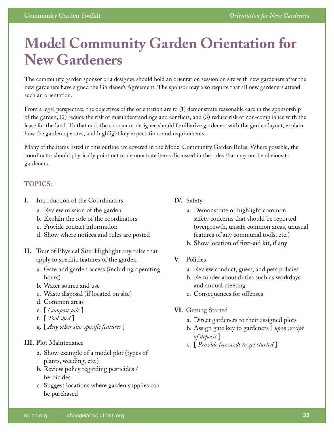# <span id="page-34-0"></span>**Model Community Garden Orientation for New Gardeners**

The community garden sponsor or a designee should hold an orientation session on site with new gardeners after the new gardeners have signed the Gardener's Agreement. The sponsor may also require that all new gardeners attend such an orientation.

From a legal perspective, the objectives of the orientation are to (1) demonstrate reasonable care in the sponsorship of the garden, (2) reduce the risk of misunderstandings and conflicts, and (3) reduce risk of non-compliance with the lease for the land. To that end, the sponsor or designee should familiarize gardeners with the garden layout, explain how the garden operates, and highlight key expectations and requirements.

Many of the items listed in this outline are covered in the Model Community Garden Rules. Where possible, the coordinator should physically point out or demonstrate items discussed in the rules that may not be obvious to gardeners.

#### **TOPICS:**

- **I.** Introduction of the Coordinators
	- a. Review mission of the garden
	- b. Explain the role of the coordinators
	- c. Provide contact information
	- d. Show where notices and rules are posted
- **II.** Tour of Physical Site: Highlight any rules that apply to specific features of the garden
	- a. Gate and garden access (including operating hours)
	- b. Water source and use
	- c. Waste disposal (if located on site)
	- d. Common areas
	- e. [ *Compost pile* ]
	- f. [ *Tool shed* ]
	- g. [ *Any other site-specific features* ]

#### **III.** Plot Maintenance

- a. Show example of a model plot (types of plants, weeding, etc.)
- b. Review policy regarding pesticides / herbicides
- c. Suggest locations where garden supplies can be purchased

#### **IV.** Safety

- a. Demonstrate or highlight common safety concerns that should be reported (overgrowth, unsafe common areas, unusual features of any communal tools, etc.)
- b. Show location of first-aid kit, if any
- **V.** Policies
	- a. Review conduct, guest, and pets policies
	- b. Reminder about duties such as workdays and annual meeting
	- c. Consequences for offenses
- **VI.** Getting Started
	- a. Direct gardeners to their assigned plots
	- b. Assign gate key to gardeners [ *upon receipt of deposit* ]
	- c. [ *Provide free seeds to get started* ]